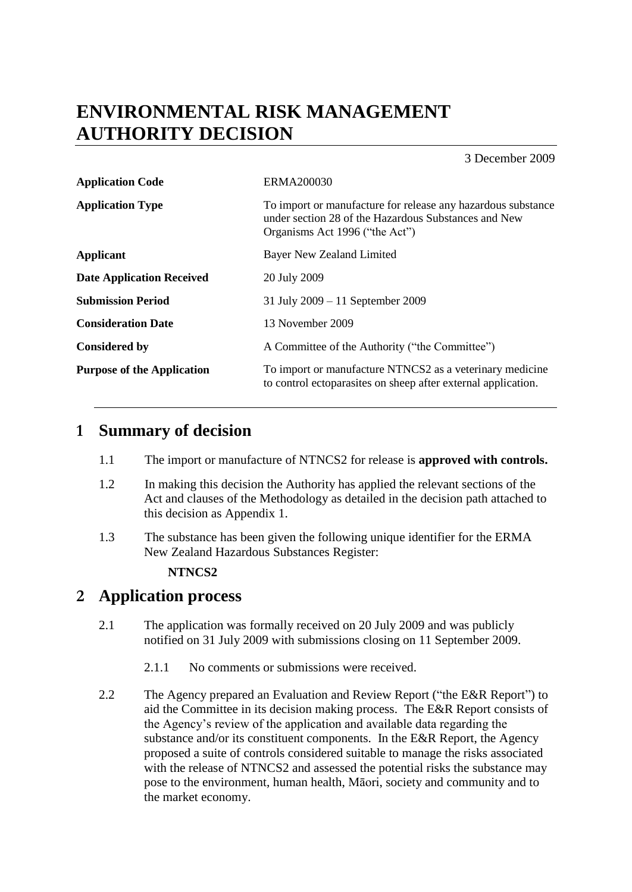# **ENVIRONMENTAL RISK MANAGEMENT AUTHORITY DECISION**

3 December 2009

| <b>Application Code</b>           | ERMA200030                                                                                                                                             |  |
|-----------------------------------|--------------------------------------------------------------------------------------------------------------------------------------------------------|--|
| <b>Application Type</b>           | To import or manufacture for release any hazardous substance<br>under section 28 of the Hazardous Substances and New<br>Organisms Act 1996 ("the Act") |  |
| <b>Applicant</b>                  | Bayer New Zealand Limited                                                                                                                              |  |
| <b>Date Application Received</b>  | 20 July 2009                                                                                                                                           |  |
| <b>Submission Period</b>          | 31 July $2009 - 11$ September 2009                                                                                                                     |  |
| <b>Consideration Date</b>         | 13 November 2009                                                                                                                                       |  |
| <b>Considered by</b>              | A Committee of the Authority ("the Committee")                                                                                                         |  |
| <b>Purpose of the Application</b> | To import or manufacture NTNCS2 as a veterinary medicine<br>to control ectoparasites on sheep after external application.                              |  |

# **1 Summary of decision**

- 1.1 The import or manufacture of NTNCS2 for release is **approved with controls.**
- 1.2 In making this decision the Authority has applied the relevant sections of the Act and clauses of the Methodology as detailed in the decision path attached to this decision as Appendix 1.
- 1.3 The substance has been given the following unique identifier for the ERMA New Zealand Hazardous Substances Register:

## **NTNCS2**

# **2 Application process**

- 2.1 The application was formally received on 20 July 2009 and was publicly notified on 31 July 2009 with submissions closing on 11 September 2009.
	- 2.1.1 No comments or submissions were received.
- 2.2 The Agency prepared an Evaluation and Review Report ("the E&R Report") to aid the Committee in its decision making process. The E&R Report consists of the Agency"s review of the application and available data regarding the substance and/or its constituent components. In the E&R Report, the Agency proposed a suite of controls considered suitable to manage the risks associated with the release of NTNCS2 and assessed the potential risks the substance may pose to the environment, human health, Māori, society and community and to the market economy.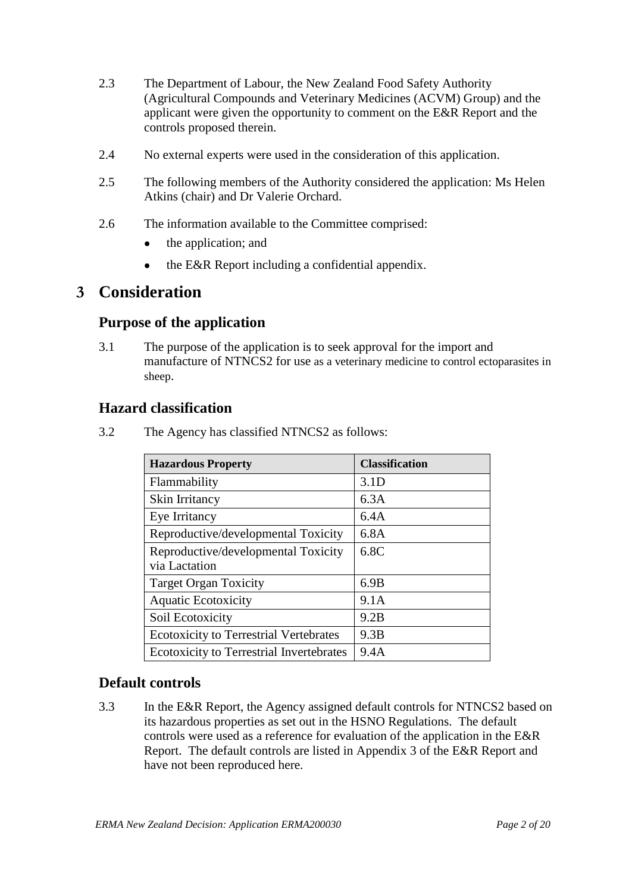- 2.3 The Department of Labour, the New Zealand Food Safety Authority (Agricultural Compounds and Veterinary Medicines (ACVM) Group) and the applicant were given the opportunity to comment on the E&R Report and the controls proposed therein.
- 2.4 No external experts were used in the consideration of this application.
- 2.5 The following members of the Authority considered the application: Ms Helen Atkins (chair) and Dr Valerie Orchard.
- 2.6 The information available to the Committee comprised:
	- $\bullet$ the application; and
	- the E&R Report including a confidential appendix.  $\bullet$

## **3 Consideration**

## **Purpose of the application**

3.1 The purpose of the application is to seek approval for the import and manufacture of NTNCS2 for use as a veterinary medicine to control ectoparasites in sheep.

## **Hazard classification**

3.2 The Agency has classified NTNCS2 as follows:

| <b>Hazardous Property</b>                       | <b>Classification</b> |
|-------------------------------------------------|-----------------------|
| Flammability                                    | 3.1 <sub>D</sub>      |
| Skin Irritancy                                  | 6.3A                  |
| Eye Irritancy                                   | 6.4A                  |
| Reproductive/developmental Toxicity             | 6.8A                  |
| Reproductive/developmental Toxicity             | 6.8C                  |
| via Lactation                                   |                       |
| <b>Target Organ Toxicity</b>                    | 6.9B                  |
| <b>Aquatic Ecotoxicity</b>                      | 9.1A                  |
| Soil Ecotoxicity                                | 9.2B                  |
| <b>Ecotoxicity to Terrestrial Vertebrates</b>   | 9.3B                  |
| <b>Ecotoxicity to Terrestrial Invertebrates</b> | 9.4A                  |

## **Default controls**

3.3 In the E&R Report, the Agency assigned default controls for NTNCS2 based on its hazardous properties as set out in the HSNO Regulations. The default controls were used as a reference for evaluation of the application in the E&R Report. The default controls are listed in Appendix 3 of the E&R Report and have not been reproduced here.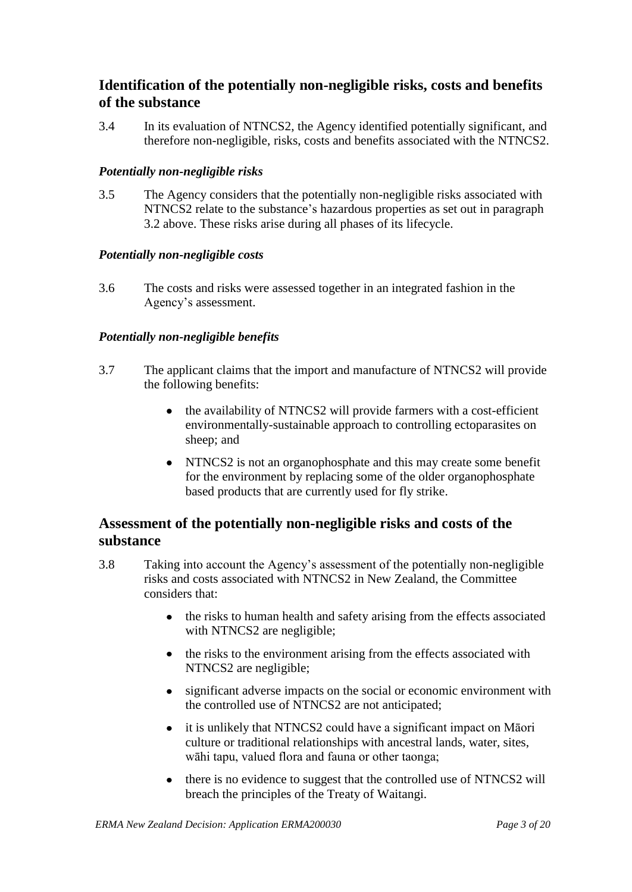## **Identification of the potentially non-negligible risks, costs and benefits of the substance**

3.4 In its evaluation of NTNCS2, the Agency identified potentially significant, and therefore non-negligible, risks, costs and benefits associated with the NTNCS2.

## *Potentially non-negligible risks*

3.5 The Agency considers that the potentially non-negligible risks associated with NTNCS2 relate to the substance"s hazardous properties as set out in paragraph 3.2 above. These risks arise during all phases of its lifecycle.

## *Potentially non-negligible costs*

3.6 The costs and risks were assessed together in an integrated fashion in the Agency"s assessment.

## *Potentially non-negligible benefits*

- 3.7 The applicant claims that the import and manufacture of NTNCS2 will provide the following benefits:
	- the availability of NTNCS2 will provide farmers with a cost-efficient environmentally-sustainable approach to controlling ectoparasites on sheep; and
	- NTNCS2 is not an organophosphate and this may create some benefit for the environment by replacing some of the older organophosphate based products that are currently used for fly strike.

## **Assessment of the potentially non-negligible risks and costs of the substance**

- 3.8 Taking into account the Agency"s assessment of the potentially non-negligible risks and costs associated with NTNCS2 in New Zealand, the Committee considers that:
	- the risks to human health and safety arising from the effects associated  $\bullet$ with NTNCS2 are negligible;
	- the risks to the environment arising from the effects associated with NTNCS2 are negligible;
	- significant adverse impacts on the social or economic environment with  $\bullet$ the controlled use of NTNCS2 are not anticipated;
	- it is unlikely that NTNCS2 could have a significant impact on Māori  $\bullet$ culture or traditional relationships with ancestral lands, water, sites, wāhi tapu, valued flora and fauna or other taonga;
	- there is no evidence to suggest that the controlled use of NTNCS2 will breach the principles of the Treaty of Waitangi.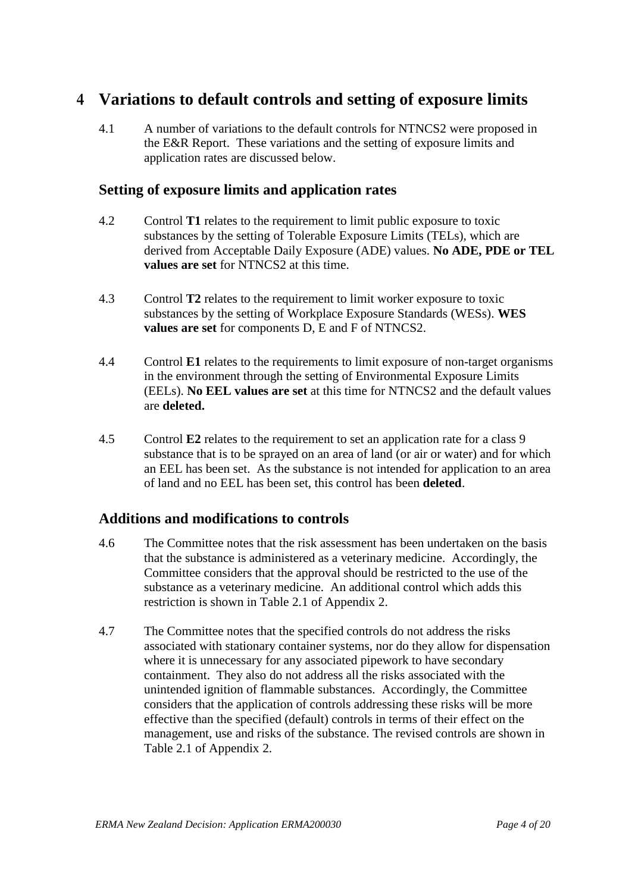# **4 Variations to default controls and setting of exposure limits**

4.1 A number of variations to the default controls for NTNCS2 were proposed in the E&R Report. These variations and the setting of exposure limits and application rates are discussed below.

## **Setting of exposure limits and application rates**

- 4.2 Control **T1** relates to the requirement to limit public exposure to toxic substances by the setting of Tolerable Exposure Limits (TELs), which are derived from Acceptable Daily Exposure (ADE) values. **No ADE, PDE or TEL values are set** for NTNCS2 at this time.
- 4.3 Control **T2** relates to the requirement to limit worker exposure to toxic substances by the setting of Workplace Exposure Standards (WESs). **WES values are set** for components D, E and F of NTNCS2.
- 4.4 Control **E1** relates to the requirements to limit exposure of non-target organisms in the environment through the setting of Environmental Exposure Limits (EELs). **No EEL values are set** at this time for NTNCS2 and the default values are **deleted.**
- 4.5 Control **E2** relates to the requirement to set an application rate for a class 9 substance that is to be sprayed on an area of land (or air or water) and for which an EEL has been set. As the substance is not intended for application to an area of land and no EEL has been set, this control has been **deleted**.

## **Additions and modifications to controls**

- 4.6 The Committee notes that the risk assessment has been undertaken on the basis that the substance is administered as a veterinary medicine. Accordingly, the Committee considers that the approval should be restricted to the use of the substance as a veterinary medicine. An additional control which adds this restriction is shown in Table 2.1 of Appendix 2.
- 4.7 The Committee notes that the specified controls do not address the risks associated with stationary container systems, nor do they allow for dispensation where it is unnecessary for any associated pipework to have secondary containment. They also do not address all the risks associated with the unintended ignition of flammable substances. Accordingly, the Committee considers that the application of controls addressing these risks will be more effective than the specified (default) controls in terms of their effect on the management, use and risks of the substance. The revised controls are shown in Table 2.1 of Appendix 2.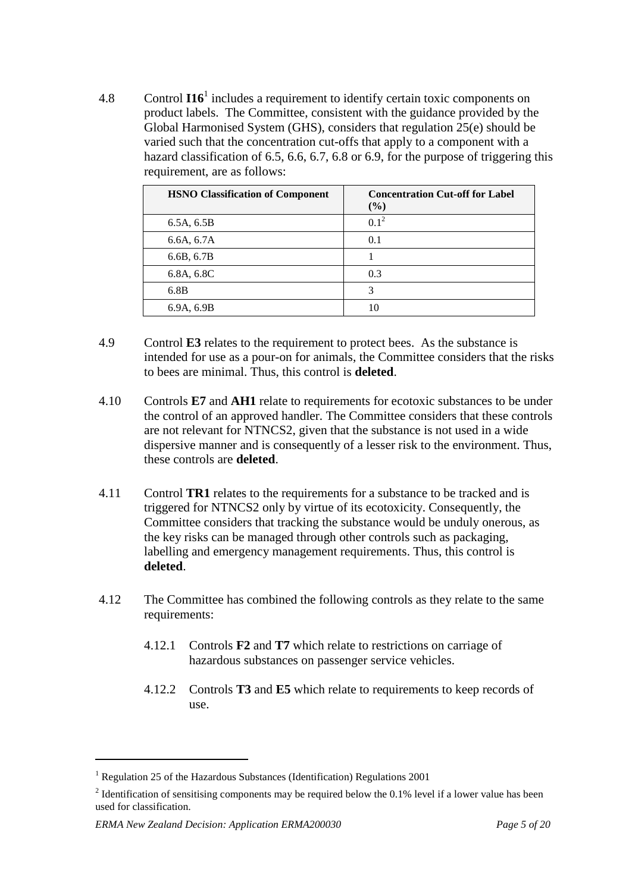4.8 Control **I16**<sup>1</sup> includes a requirement to identify certain toxic components on product labels. The Committee, consistent with the guidance provided by the Global Harmonised System (GHS), considers that regulation 25(e) should be varied such that the concentration cut-offs that apply to a component with a hazard classification of 6.5, 6.6, 6.7, 6.8 or 6.9, for the purpose of triggering this requirement, are as follows:

| <b>HSNO Classification of Component</b> | <b>Concentration Cut-off for Label</b><br>$(\%)$ |
|-----------------------------------------|--------------------------------------------------|
| 6.5A, 6.5B                              | $0.1^2$                                          |
| 6.6A, 6.7A                              | 0.1                                              |
| 6.6B, 6.7B                              |                                                  |
| 6.8A, 6.8C                              | 0.3                                              |
| 6.8B                                    | 3                                                |
| 6.9A, 6.9B                              | 10                                               |

- 4.9 Control **E3** relates to the requirement to protect bees. As the substance is intended for use as a pour-on for animals, the Committee considers that the risks to bees are minimal. Thus, this control is **deleted**.
- 4.10 Controls **E7** and **AH1** relate to requirements for ecotoxic substances to be under the control of an approved handler. The Committee considers that these controls are not relevant for NTNCS2, given that the substance is not used in a wide dispersive manner and is consequently of a lesser risk to the environment. Thus, these controls are **deleted**.
- 4.11 Control **TR1** relates to the requirements for a substance to be tracked and is triggered for NTNCS2 only by virtue of its ecotoxicity. Consequently, the Committee considers that tracking the substance would be unduly onerous, as the key risks can be managed through other controls such as packaging, labelling and emergency management requirements. Thus, this control is **deleted**.
- 4.12 The Committee has combined the following controls as they relate to the same requirements:
	- 4.12.1 Controls **F2** and **T7** which relate to restrictions on carriage of hazardous substances on passenger service vehicles.
	- 4.12.2 Controls **T3** and **E5** which relate to requirements to keep records of use.

 $\overline{a}$ 

<sup>&</sup>lt;sup>1</sup> Regulation 25 of the Hazardous Substances (Identification) Regulations 2001

<sup>&</sup>lt;sup>2</sup> Identification of sensitising components may be required below the 0.1% level if a lower value has been used for classification.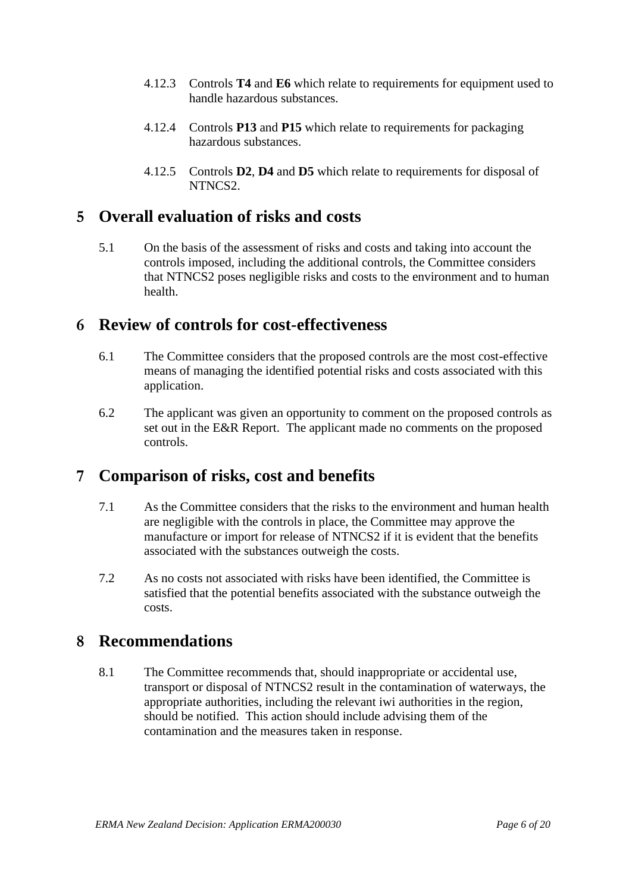- 4.12.3 Controls **T4** and **E6** which relate to requirements for equipment used to handle hazardous substances.
- 4.12.4 Controls **P13** and **P15** which relate to requirements for packaging hazardous substances.
- 4.12.5 Controls **D2**, **D4** and **D5** which relate to requirements for disposal of NTNCS2.

# **5 Overall evaluation of risks and costs**

5.1 On the basis of the assessment of risks and costs and taking into account the controls imposed, including the additional controls, the Committee considers that NTNCS2 poses negligible risks and costs to the environment and to human health.

## **6 Review of controls for cost-effectiveness**

- 6.1 The Committee considers that the proposed controls are the most cost-effective means of managing the identified potential risks and costs associated with this application.
- 6.2 The applicant was given an opportunity to comment on the proposed controls as set out in the E&R Report. The applicant made no comments on the proposed controls.

# **7 Comparison of risks, cost and benefits**

- 7.1 As the Committee considers that the risks to the environment and human health are negligible with the controls in place, the Committee may approve the manufacture or import for release of NTNCS2 if it is evident that the benefits associated with the substances outweigh the costs.
- 7.2 As no costs not associated with risks have been identified, the Committee is satisfied that the potential benefits associated with the substance outweigh the costs.

# **8 Recommendations**

8.1 The Committee recommends that, should inappropriate or accidental use, transport or disposal of NTNCS2 result in the contamination of waterways, the appropriate authorities, including the relevant iwi authorities in the region, should be notified. This action should include advising them of the contamination and the measures taken in response.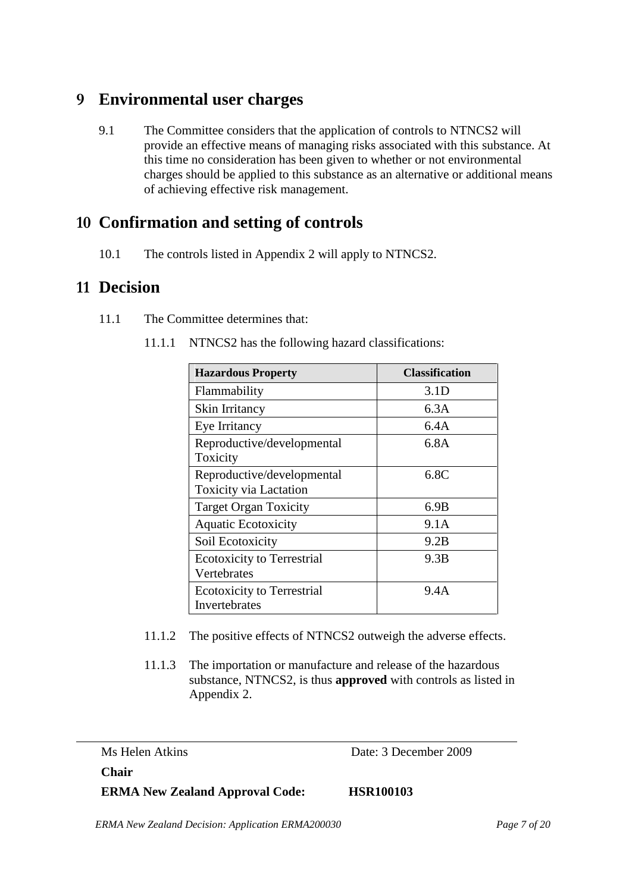# **9 Environmental user charges**

9.1 The Committee considers that the application of controls to NTNCS2 will provide an effective means of managing risks associated with this substance. At this time no consideration has been given to whether or not environmental charges should be applied to this substance as an alternative or additional means of achieving effective risk management.

# **10 Confirmation and setting of controls**

10.1 The controls listed in Appendix 2 will apply to NTNCS2.

# **11 Decision**

- 11.1 The Committee determines that:
	- 11.1.1 NTNCS2 has the following hazard classifications:

| <b>Hazardous Property</b>                                   | <b>Classification</b> |
|-------------------------------------------------------------|-----------------------|
| Flammability                                                | 3.1 <sub>D</sub>      |
| Skin Irritancy                                              | 6.3A                  |
| Eye Irritancy                                               | 6.4A                  |
| Reproductive/developmental<br>Toxicity                      | 6.8A                  |
| Reproductive/developmental<br><b>Toxicity via Lactation</b> | 6.8C                  |
| <b>Target Organ Toxicity</b>                                | 6.9B                  |
| <b>Aquatic Ecotoxicity</b>                                  | 9.1A                  |
| Soil Ecotoxicity                                            | 9.2B                  |
| <b>Ecotoxicity to Terrestrial</b><br>Vertebrates            | 9.3B                  |
| <b>Ecotoxicity to Terrestrial</b><br>Invertebrates          | 9.4A                  |

- 11.1.2 The positive effects of NTNCS2 outweigh the adverse effects.
- 11.1.3 The importation or manufacture and release of the hazardous substance, NTNCS2, is thus **approved** with controls as listed in Appendix 2.

Ms Helen Atkins Date: 3 December 2009

**Chair** 

**ERMA New Zealand Approval Code: HSR100103**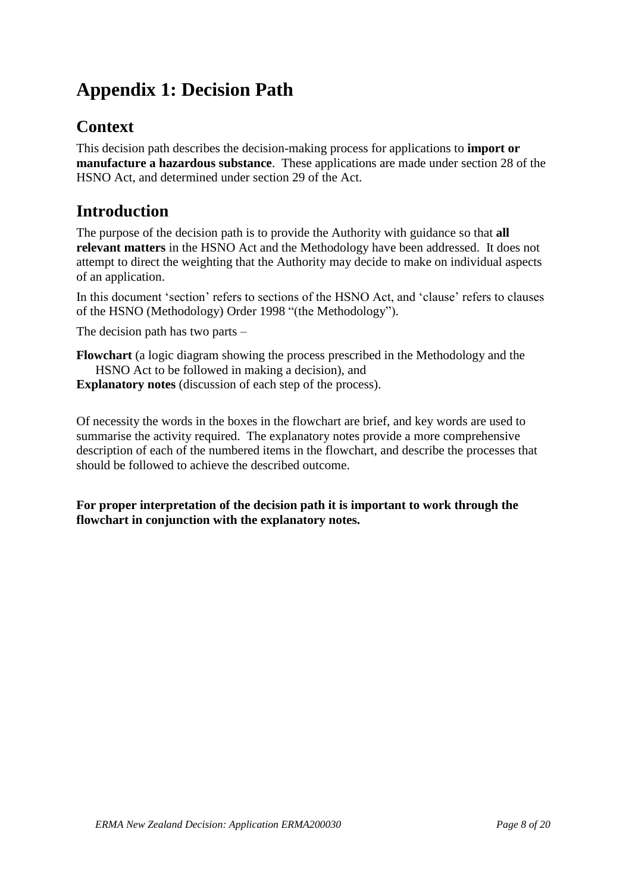# **Appendix 1: Decision Path**

# **Context**

This decision path describes the decision-making process for applications to **import or manufacture a hazardous substance**. These applications are made under section 28 of the HSNO Act, and determined under section 29 of the Act.

# **Introduction**

The purpose of the decision path is to provide the Authority with guidance so that **all relevant matters** in the HSNO Act and the Methodology have been addressed. It does not attempt to direct the weighting that the Authority may decide to make on individual aspects of an application.

In this document 'section' refers to sections of the HSNO Act, and 'clause' refers to clauses of the HSNO (Methodology) Order 1998 "(the Methodology").

The decision path has two parts –

**Flowchart** (a logic diagram showing the process prescribed in the Methodology and the HSNO Act to be followed in making a decision), and

**Explanatory notes** (discussion of each step of the process).

Of necessity the words in the boxes in the flowchart are brief, and key words are used to summarise the activity required. The explanatory notes provide a more comprehensive description of each of the numbered items in the flowchart, and describe the processes that should be followed to achieve the described outcome.

**For proper interpretation of the decision path it is important to work through the flowchart in conjunction with the explanatory notes.**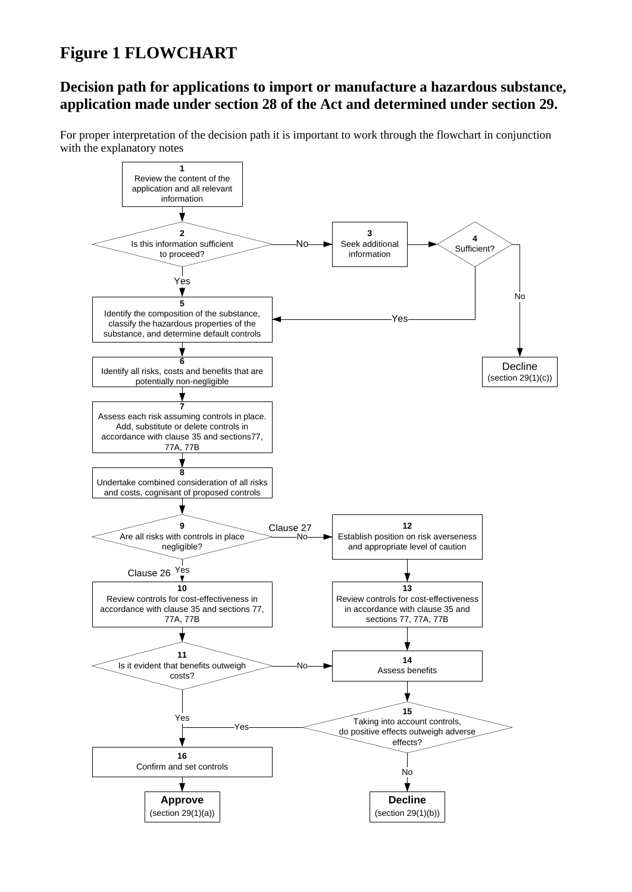# **Figure 1 FLOWCHART**

## **Decision path for applications to import or manufacture a hazardous substance, application made under section 28 of the Act and determined under section 29.**

For proper interpretation of the decision path it is important to work through the flowchart in conjunction with the explanatory notes

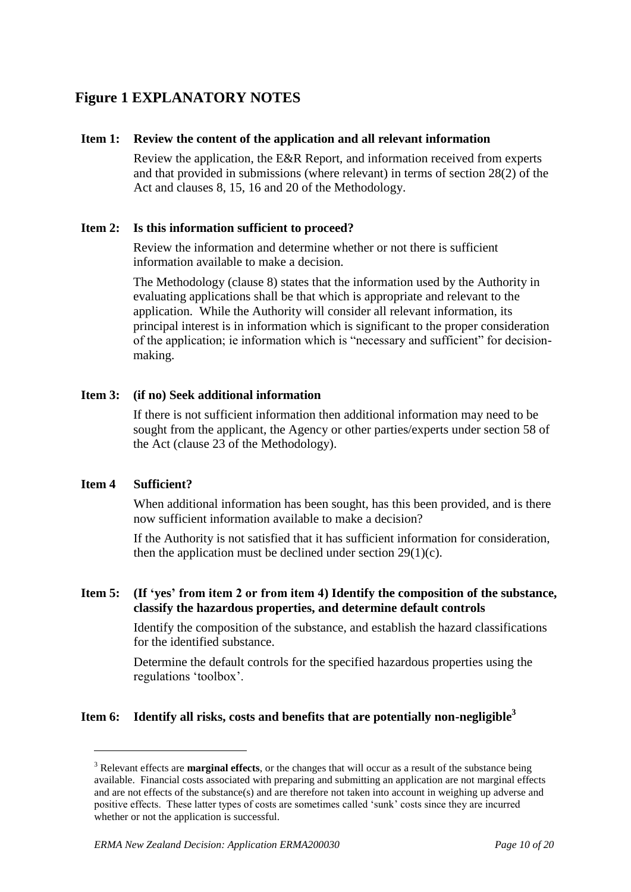# **Figure 1 EXPLANATORY NOTES**

#### **Item 1: Review the content of the application and all relevant information**

Review the application, the E&R Report, and information received from experts and that provided in submissions (where relevant) in terms of section 28(2) of the Act and clauses 8, 15, 16 and 20 of the Methodology.

## **Item 2: Is this information sufficient to proceed?**

Review the information and determine whether or not there is sufficient information available to make a decision.

The Methodology (clause 8) states that the information used by the Authority in evaluating applications shall be that which is appropriate and relevant to the application. While the Authority will consider all relevant information, its principal interest is in information which is significant to the proper consideration of the application; ie information which is "necessary and sufficient" for decisionmaking.

## **Item 3: (if no) Seek additional information**

If there is not sufficient information then additional information may need to be sought from the applicant, the Agency or other parties/experts under section 58 of the Act (clause 23 of the Methodology).

## **Item 4 Sufficient?**

1

When additional information has been sought, has this been provided, and is there now sufficient information available to make a decision?

If the Authority is not satisfied that it has sufficient information for consideration, then the application must be declined under section  $29(1)(c)$ .

## **Item 5: (If 'yes' from item 2 or from item 4) Identify the composition of the substance, classify the hazardous properties, and determine default controls**

Identify the composition of the substance, and establish the hazard classifications for the identified substance.

Determine the default controls for the specified hazardous properties using the regulations "toolbox".

## **Item 6: Identify all risks, costs and benefits that are potentially non-negligible<sup>3</sup>**

<sup>&</sup>lt;sup>3</sup> Relevant effects are **marginal effects**, or the changes that will occur as a result of the substance being available. Financial costs associated with preparing and submitting an application are not marginal effects and are not effects of the substance(s) and are therefore not taken into account in weighing up adverse and positive effects. These latter types of costs are sometimes called "sunk" costs since they are incurred whether or not the application is successful.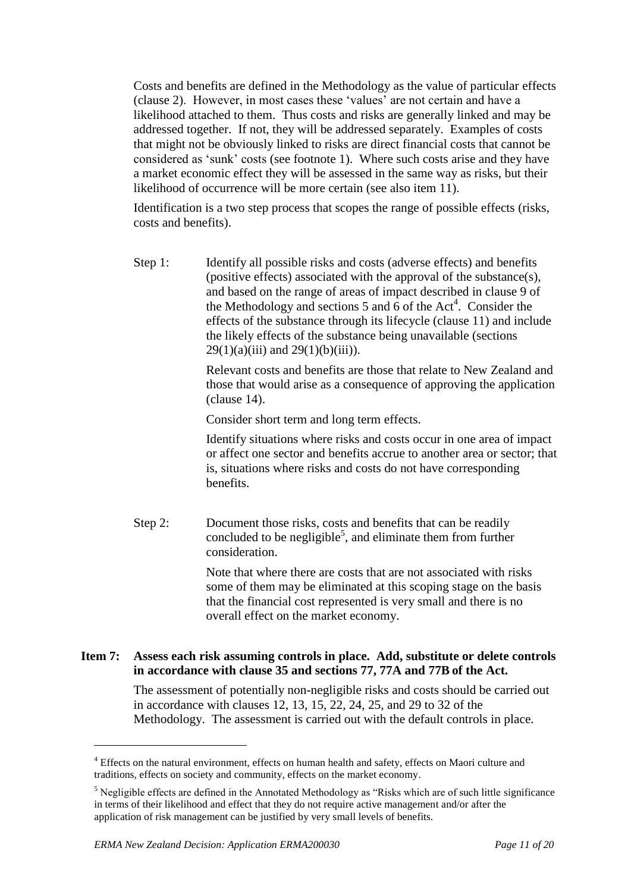Costs and benefits are defined in the Methodology as the value of particular effects (clause 2). However, in most cases these "values" are not certain and have a likelihood attached to them. Thus costs and risks are generally linked and may be addressed together. If not, they will be addressed separately. Examples of costs that might not be obviously linked to risks are direct financial costs that cannot be considered as "sunk" costs (see footnote 1). Where such costs arise and they have a market economic effect they will be assessed in the same way as risks, but their likelihood of occurrence will be more certain (see also item 11).

Identification is a two step process that scopes the range of possible effects (risks, costs and benefits).

Step 1: Identify all possible risks and costs (adverse effects) and benefits (positive effects) associated with the approval of the substance(s), and based on the range of areas of impact described in clause 9 of the Methodology and sections 5 and  $\vec{6}$  of the Act<sup>4</sup>. Consider the effects of the substance through its lifecycle (clause 11) and include the likely effects of the substance being unavailable (sections  $29(1)(a)(iii)$  and  $29(1)(b)(iii)$ .

> Relevant costs and benefits are those that relate to New Zealand and those that would arise as a consequence of approving the application (clause 14).

Consider short term and long term effects.

Identify situations where risks and costs occur in one area of impact or affect one sector and benefits accrue to another area or sector; that is, situations where risks and costs do not have corresponding benefits.

Step 2: Document those risks, costs and benefits that can be readily concluded to be negligible<sup>5</sup>, and eliminate them from further consideration.

> Note that where there are costs that are not associated with risks some of them may be eliminated at this scoping stage on the basis that the financial cost represented is very small and there is no overall effect on the market economy.

## **Item 7: Assess each risk assuming controls in place. Add, substitute or delete controls in accordance with clause 35 and sections 77, 77A and 77B of the Act.**

The assessment of potentially non-negligible risks and costs should be carried out in accordance with clauses 12, 13, 15, 22, 24, 25, and 29 to 32 of the Methodology. The assessment is carried out with the default controls in place.

<u>.</u>

<sup>&</sup>lt;sup>4</sup> Effects on the natural environment, effects on human health and safety, effects on Maori culture and traditions, effects on society and community, effects on the market economy.

<sup>5</sup> Negligible effects are defined in the Annotated Methodology as "Risks which are of such little significance in terms of their likelihood and effect that they do not require active management and/or after the application of risk management can be justified by very small levels of benefits.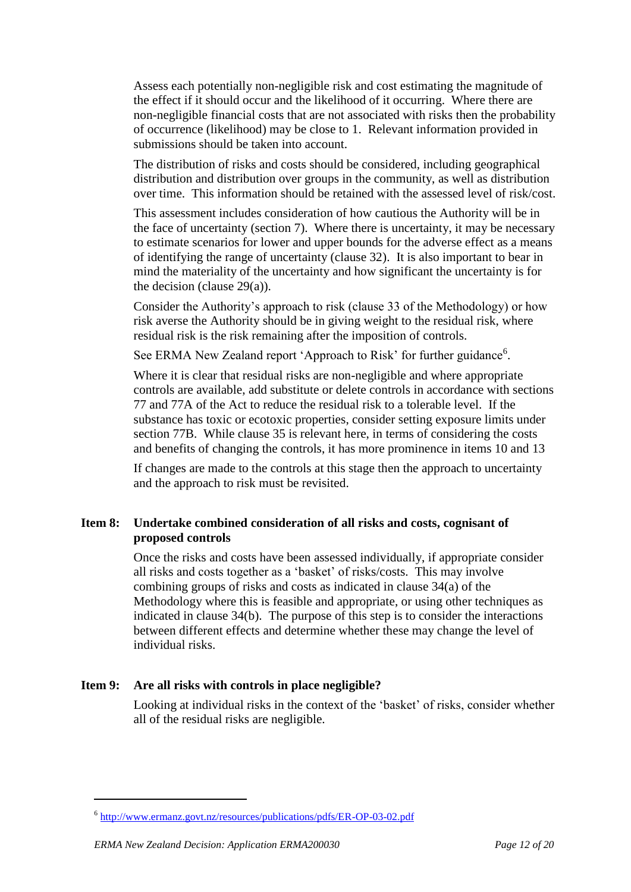Assess each potentially non-negligible risk and cost estimating the magnitude of the effect if it should occur and the likelihood of it occurring. Where there are non-negligible financial costs that are not associated with risks then the probability of occurrence (likelihood) may be close to 1. Relevant information provided in submissions should be taken into account.

The distribution of risks and costs should be considered, including geographical distribution and distribution over groups in the community, as well as distribution over time. This information should be retained with the assessed level of risk/cost.

This assessment includes consideration of how cautious the Authority will be in the face of uncertainty (section 7). Where there is uncertainty, it may be necessary to estimate scenarios for lower and upper bounds for the adverse effect as a means of identifying the range of uncertainty (clause 32). It is also important to bear in mind the materiality of the uncertainty and how significant the uncertainty is for the decision (clause  $29(a)$ ).

Consider the Authority"s approach to risk (clause 33 of the Methodology) or how risk averse the Authority should be in giving weight to the residual risk, where residual risk is the risk remaining after the imposition of controls.

See ERMA New Zealand report 'Approach to Risk' for further guidance<sup>6</sup>.

Where it is clear that residual risks are non-negligible and where appropriate controls are available, add substitute or delete controls in accordance with sections 77 and 77A of the Act to reduce the residual risk to a tolerable level. If the substance has toxic or ecotoxic properties, consider setting exposure limits under section 77B. While clause 35 is relevant here, in terms of considering the costs and benefits of changing the controls, it has more prominence in items 10 and 13

If changes are made to the controls at this stage then the approach to uncertainty and the approach to risk must be revisited.

## **Item 8: Undertake combined consideration of all risks and costs, cognisant of proposed controls**

Once the risks and costs have been assessed individually, if appropriate consider all risks and costs together as a "basket" of risks/costs. This may involve combining groups of risks and costs as indicated in clause 34(a) of the Methodology where this is feasible and appropriate, or using other techniques as indicated in clause 34(b). The purpose of this step is to consider the interactions between different effects and determine whether these may change the level of individual risks.

## **Item 9: Are all risks with controls in place negligible?**

Looking at individual risks in the context of the 'basket' of risks, consider whether all of the residual risks are negligible.

<u>.</u>

<sup>&</sup>lt;sup>6</sup> <http://www.ermanz.govt.nz/resources/publications/pdfs/ER-OP-03-02.pdf>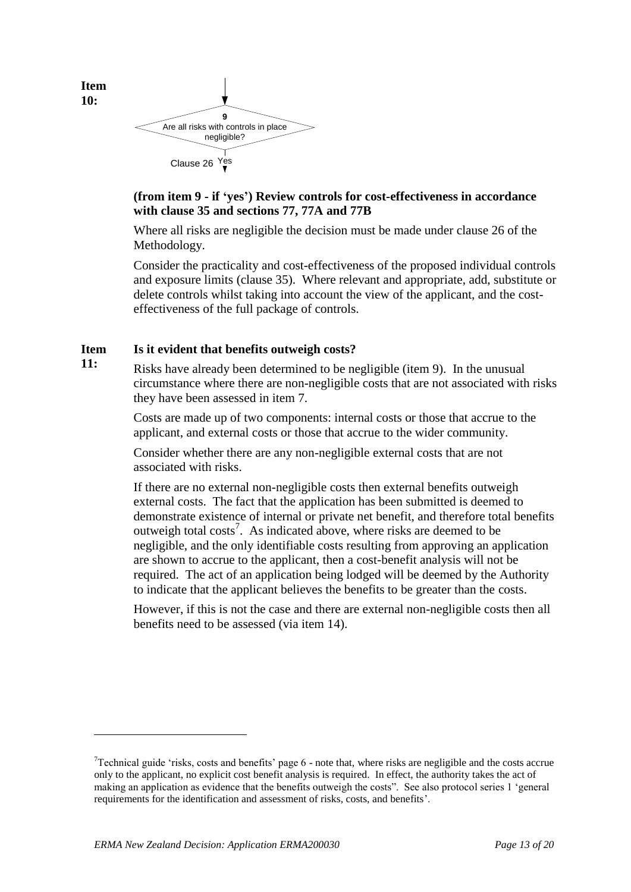

**10:**

1

## **(from item 9 - if 'yes') Review controls for cost-effectiveness in accordance with clause 35 and sections 77, 77A and 77B**

Where all risks are negligible the decision must be made under clause 26 of the Methodology.

Consider the practicality and cost-effectiveness of the proposed individual controls and exposure limits (clause 35). Where relevant and appropriate, add, substitute or delete controls whilst taking into account the view of the applicant, and the costeffectiveness of the full package of controls.

#### **Item Is it evident that benefits outweigh costs?**

**11:** Risks have already been determined to be negligible (item 9). In the unusual circumstance where there are non-negligible costs that are not associated with risks they have been assessed in item 7.

> Costs are made up of two components: internal costs or those that accrue to the applicant, and external costs or those that accrue to the wider community.

Consider whether there are any non-negligible external costs that are not associated with risks.

If there are no external non-negligible costs then external benefits outweigh external costs. The fact that the application has been submitted is deemed to demonstrate existence of internal or private net benefit, and therefore total benefits outweigh total costs<sup>7</sup>. As indicated above, where risks are deemed to be negligible, and the only identifiable costs resulting from approving an application are shown to accrue to the applicant, then a cost-benefit analysis will not be required. The act of an application being lodged will be deemed by the Authority to indicate that the applicant believes the benefits to be greater than the costs.

However, if this is not the case and there are external non-negligible costs then all benefits need to be assessed (via item 14).

 $7$ Technical guide 'risks, costs and benefits' page 6 - note that, where risks are negligible and the costs accrue only to the applicant, no explicit cost benefit analysis is required. In effect, the authority takes the act of making an application as evidence that the benefits outweigh the costs". See also protocol series 1 "general requirements for the identification and assessment of risks, costs, and benefits".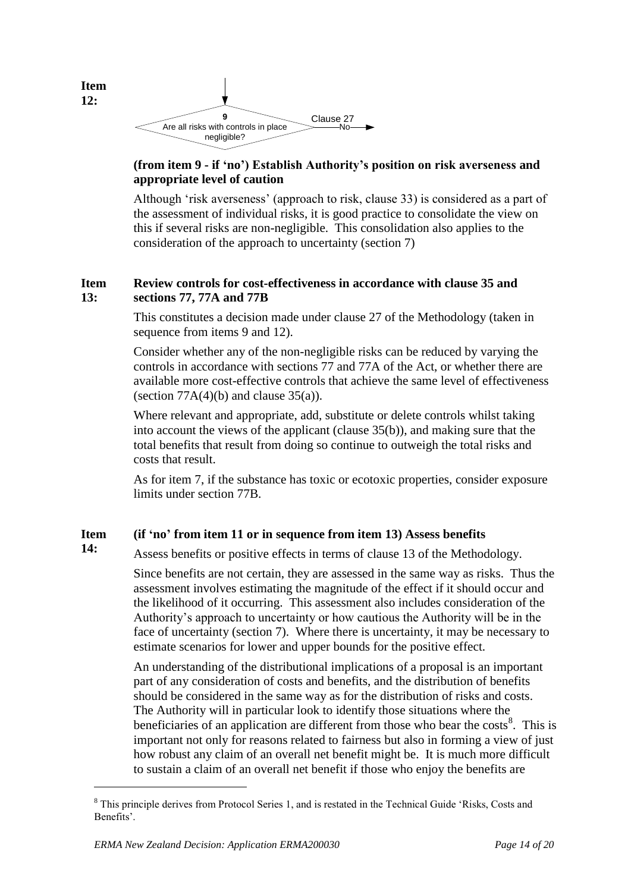

**12:**

## **(from item 9 - if 'no') Establish Authority's position on risk averseness and appropriate level of caution**

Although 'risk averseness' (approach to risk, clause 33) is considered as a part of the assessment of individual risks, it is good practice to consolidate the view on this if several risks are non-negligible. This consolidation also applies to the consideration of the approach to uncertainty (section 7)

#### **Item 13: Review controls for cost-effectiveness in accordance with clause 35 and sections 77, 77A and 77B**

This constitutes a decision made under clause 27 of the Methodology (taken in sequence from items 9 and 12).

Consider whether any of the non-negligible risks can be reduced by varying the controls in accordance with sections 77 and 77A of the Act, or whether there are available more cost-effective controls that achieve the same level of effectiveness (section  $77A(4)(b)$  and clause  $35(a)$ ).

Where relevant and appropriate, add, substitute or delete controls whilst taking into account the views of the applicant (clause 35(b)), and making sure that the total benefits that result from doing so continue to outweigh the total risks and costs that result.

As for item 7, if the substance has toxic or ecotoxic properties, consider exposure limits under section 77B.

#### **Item (if 'no' from item 11 or in sequence from item 13) Assess benefits**

**14:** Assess benefits or positive effects in terms of clause 13 of the Methodology.

> Since benefits are not certain, they are assessed in the same way as risks. Thus the assessment involves estimating the magnitude of the effect if it should occur and the likelihood of it occurring. This assessment also includes consideration of the Authority"s approach to uncertainty or how cautious the Authority will be in the face of uncertainty (section 7). Where there is uncertainty, it may be necessary to estimate scenarios for lower and upper bounds for the positive effect.

> An understanding of the distributional implications of a proposal is an important part of any consideration of costs and benefits, and the distribution of benefits should be considered in the same way as for the distribution of risks and costs. The Authority will in particular look to identify those situations where the beneficiaries of an application are different from those who bear the costs<sup>8</sup>. This is important not only for reasons related to fairness but also in forming a view of just how robust any claim of an overall net benefit might be. It is much more difficult to sustain a claim of an overall net benefit if those who enjoy the benefits are

1

<sup>&</sup>lt;sup>8</sup> This principle derives from Protocol Series 1, and is restated in the Technical Guide 'Risks, Costs and Benefits'.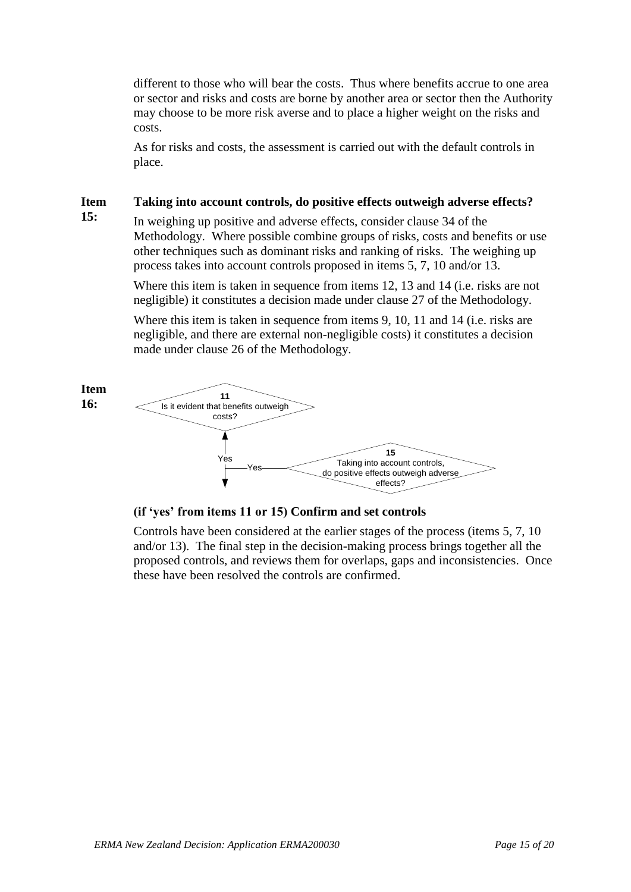different to those who will bear the costs. Thus where benefits accrue to one area or sector and risks and costs are borne by another area or sector then the Authority may choose to be more risk averse and to place a higher weight on the risks and costs.

As for risks and costs, the assessment is carried out with the default controls in place.

#### **Item Taking into account controls, do positive effects outweigh adverse effects?**

**15:**

In weighing up positive and adverse effects, consider clause 34 of the Methodology. Where possible combine groups of risks, costs and benefits or use other techniques such as dominant risks and ranking of risks. The weighing up process takes into account controls proposed in items 5, 7, 10 and/or 13.

Where this item is taken in sequence from items 12, 13 and 14 (i.e. risks are not negligible) it constitutes a decision made under clause 27 of the Methodology.

Where this item is taken in sequence from items 9, 10, 11 and 14 (i.e. risks are negligible, and there are external non-negligible costs) it constitutes a decision made under clause 26 of the Methodology.



## **(if 'yes' from items 11 or 15) Confirm and set controls**

Controls have been considered at the earlier stages of the process (items 5, 7, 10 and/or 13). The final step in the decision-making process brings together all the proposed controls, and reviews them for overlaps, gaps and inconsistencies. Once these have been resolved the controls are confirmed.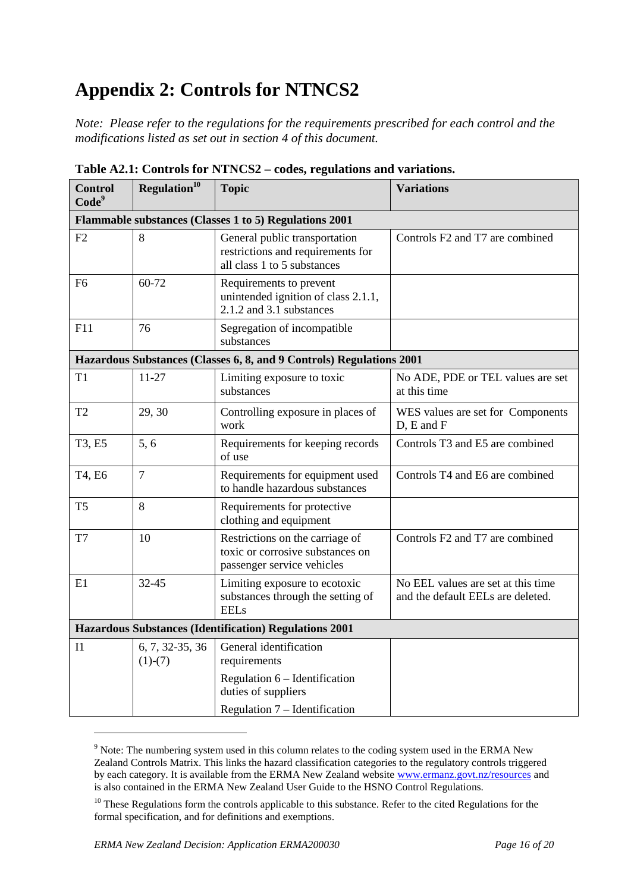# **Appendix 2: Controls for NTNCS2**

*Note: Please refer to the regulations for the requirements prescribed for each control and the modifications listed as set out in section 4 of this document.*

| <b>Control</b><br>Code <sup>9</sup>                    | Regulation <sup>10</sup>     | <b>Topic</b>                                                                                      | <b>Variations</b>                                                       |
|--------------------------------------------------------|------------------------------|---------------------------------------------------------------------------------------------------|-------------------------------------------------------------------------|
|                                                        |                              | Flammable substances (Classes 1 to 5) Regulations 2001                                            |                                                                         |
| F2                                                     | 8                            | General public transportation<br>restrictions and requirements for<br>all class 1 to 5 substances | Controls F2 and T7 are combined                                         |
| F6                                                     | 60-72                        | Requirements to prevent<br>unintended ignition of class 2.1.1,<br>2.1.2 and 3.1 substances        |                                                                         |
| F11                                                    | 76                           | Segregation of incompatible<br>substances                                                         |                                                                         |
|                                                        |                              | Hazardous Substances (Classes 6, 8, and 9 Controls) Regulations 2001                              |                                                                         |
| T1                                                     | 11-27                        | Limiting exposure to toxic<br>substances                                                          | No ADE, PDE or TEL values are set<br>at this time                       |
| T <sub>2</sub>                                         | 29, 30                       | Controlling exposure in places of<br>work                                                         | WES values are set for Components<br>D, E and F                         |
| T3, E5                                                 | 5, 6                         | Requirements for keeping records<br>of use                                                        | Controls T3 and E5 are combined                                         |
| T4, E6                                                 | $\overline{7}$               | Requirements for equipment used<br>to handle hazardous substances                                 | Controls T4 and E6 are combined                                         |
| T <sub>5</sub>                                         | 8                            | Requirements for protective<br>clothing and equipment                                             |                                                                         |
| T7                                                     | 10                           | Restrictions on the carriage of<br>toxic or corrosive substances on<br>passenger service vehicles | Controls F2 and T7 are combined                                         |
| E1                                                     | 32-45                        | Limiting exposure to ecotoxic<br>substances through the setting of<br><b>EELs</b>                 | No EEL values are set at this time<br>and the default EELs are deleted. |
| Hazardous Substances (Identification) Regulations 2001 |                              |                                                                                                   |                                                                         |
| I <sub>1</sub>                                         | 6, 7, 32-35, 36<br>$(1)-(7)$ | General identification<br>requirements                                                            |                                                                         |
|                                                        |                              | Regulation $6$ – Identification<br>duties of suppliers                                            |                                                                         |
|                                                        |                              | Regulation $7$ – Identification                                                                   |                                                                         |

**Table A2.1: Controls for NTNCS2 – codes, regulations and variations.**

1

<sup>&</sup>lt;sup>9</sup> Note: The numbering system used in this column relates to the coding system used in the ERMA New Zealand Controls Matrix. This links the hazard classification categories to the regulatory controls triggered by each category. It is available from the ERMA New Zealand website [www.ermanz.govt.nz/resources](http://www.ermanz.govt.nz/resources) and is also contained in the ERMA New Zealand User Guide to the HSNO Control Regulations.

 $10$  These Regulations form the controls applicable to this substance. Refer to the cited Regulations for the formal specification, and for definitions and exemptions.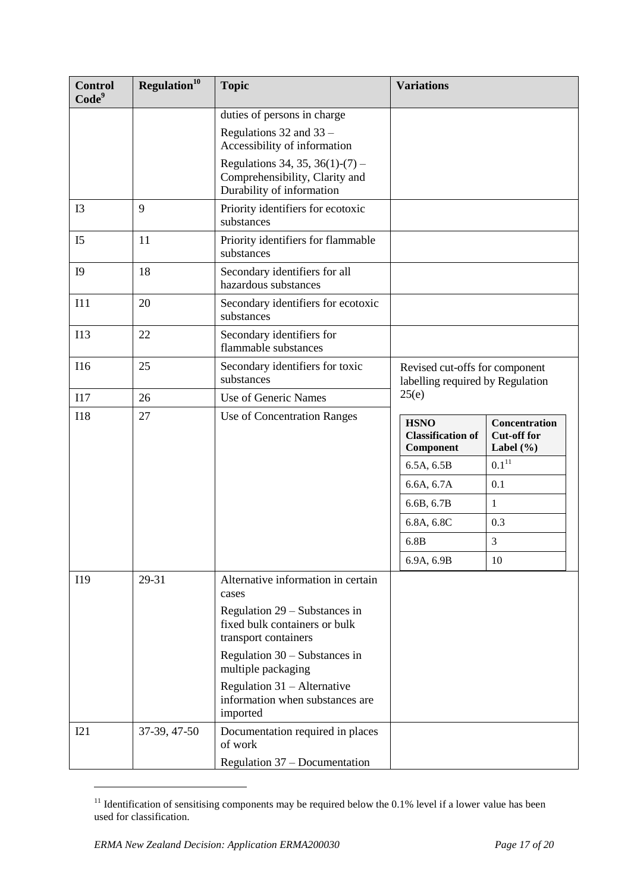| <b>Control</b><br>Code <sup>9</sup> | Regulation <sup>10</sup> | <b>Topic</b>                                                                                   | <b>Variations</b>                                                  |                                                             |
|-------------------------------------|--------------------------|------------------------------------------------------------------------------------------------|--------------------------------------------------------------------|-------------------------------------------------------------|
|                                     |                          | duties of persons in charge<br>Regulations 32 and 33 –<br>Accessibility of information         |                                                                    |                                                             |
|                                     |                          | Regulations 34, 35, 36(1)-(7) –<br>Comprehensibility, Clarity and<br>Durability of information |                                                                    |                                                             |
| I3                                  | 9                        | Priority identifiers for ecotoxic<br>substances                                                |                                                                    |                                                             |
| I <sub>5</sub>                      | 11                       | Priority identifiers for flammable<br>substances                                               |                                                                    |                                                             |
| I <sub>9</sub>                      | 18                       | Secondary identifiers for all<br>hazardous substances                                          |                                                                    |                                                             |
| I11                                 | 20                       | Secondary identifiers for ecotoxic<br>substances                                               |                                                                    |                                                             |
| I13                                 | 22                       | Secondary identifiers for<br>flammable substances                                              |                                                                    |                                                             |
| <b>I16</b>                          | 25                       | Secondary identifiers for toxic<br>substances                                                  | Revised cut-offs for component<br>labelling required by Regulation |                                                             |
| I17                                 | 26                       | Use of Generic Names                                                                           | 25(e)                                                              |                                                             |
| <b>I18</b>                          | 27                       | Use of Concentration Ranges                                                                    | <b>HSNO</b><br><b>Classification of</b><br>Component               | <b>Concentration</b><br><b>Cut-off for</b><br>Label $(\% )$ |
|                                     |                          |                                                                                                | 6.5A, 6.5B                                                         | $0.1^{11}$                                                  |
|                                     |                          |                                                                                                | 6.6A, 6.7A                                                         | 0.1                                                         |
|                                     |                          |                                                                                                | 6.6B, 6.7B                                                         | $\mathbf{1}$                                                |
|                                     |                          |                                                                                                | 6.8A, 6.8C                                                         | 0.3                                                         |
|                                     |                          |                                                                                                | 6.8B                                                               | 3                                                           |
|                                     |                          |                                                                                                | 6.9A, 6.9B                                                         | 10                                                          |
| I19                                 | 29-31                    | Alternative information in certain<br>cases                                                    |                                                                    |                                                             |
|                                     |                          | Regulation 29 – Substances in<br>fixed bulk containers or bulk<br>transport containers         |                                                                    |                                                             |
|                                     |                          | Regulation 30 – Substances in<br>multiple packaging                                            |                                                                    |                                                             |
|                                     |                          | Regulation $31 -$ Alternative<br>information when substances are<br>imported                   |                                                                    |                                                             |
| I21                                 | 37-39, 47-50             | Documentation required in places<br>of work                                                    |                                                                    |                                                             |
|                                     |                          | Regulation 37 – Documentation                                                                  |                                                                    |                                                             |

<sup>&</sup>lt;sup>11</sup> Identification of sensitising components may be required below the 0.1% level if a lower value has been used for classification.

1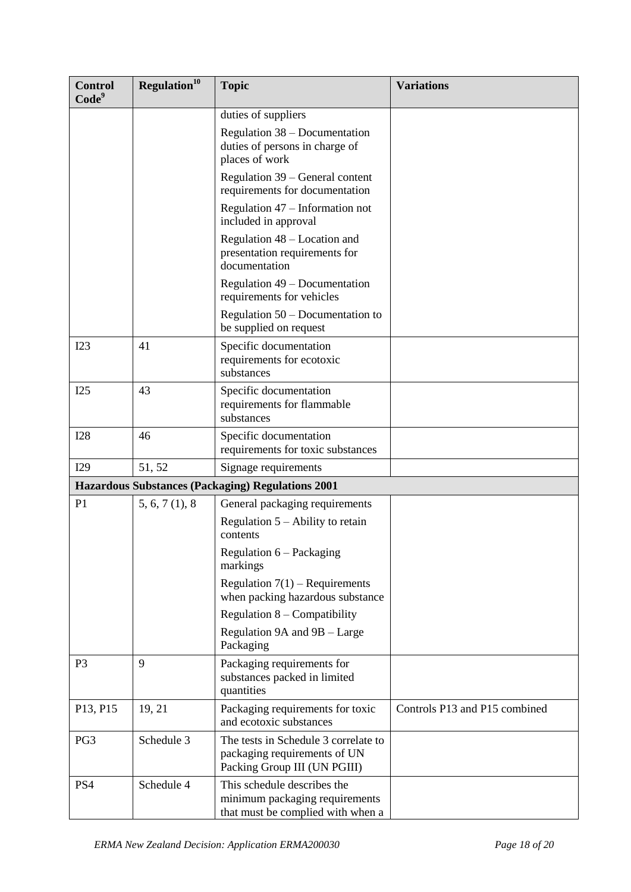| <b>Control</b><br>Code <sup>9</sup> | Regulation <sup>10</sup> | <b>Topic</b>                                                                                         | <b>Variations</b>             |
|-------------------------------------|--------------------------|------------------------------------------------------------------------------------------------------|-------------------------------|
|                                     |                          | duties of suppliers                                                                                  |                               |
|                                     |                          | Regulation 38 - Documentation<br>duties of persons in charge of<br>places of work                    |                               |
|                                     |                          | Regulation 39 – General content<br>requirements for documentation                                    |                               |
|                                     |                          | Regulation $47$ – Information not<br>included in approval                                            |                               |
|                                     |                          | Regulation 48 – Location and<br>presentation requirements for<br>documentation                       |                               |
|                                     |                          | Regulation $49 - Doc$ umentation<br>requirements for vehicles                                        |                               |
|                                     |                          | Regulation $50 -$ Documentation to<br>be supplied on request                                         |                               |
| I23                                 | 41                       | Specific documentation<br>requirements for ecotoxic<br>substances                                    |                               |
| I25                                 | 43                       | Specific documentation<br>requirements for flammable<br>substances                                   |                               |
| <b>I28</b>                          | 46                       | Specific documentation<br>requirements for toxic substances                                          |                               |
| I29                                 | 51, 52                   | Signage requirements                                                                                 |                               |
|                                     |                          | <b>Hazardous Substances (Packaging) Regulations 2001</b>                                             |                               |
| P <sub>1</sub>                      | 5, 6, 7(1), 8            | General packaging requirements                                                                       |                               |
|                                     |                          | Regulation $5 -$ Ability to retain<br>contents                                                       |                               |
|                                     |                          | Regulation 6 – Packaging<br>markings                                                                 |                               |
|                                     |                          | Regulation $7(1)$ – Requirements<br>when packing hazardous substance                                 |                               |
|                                     |                          | Regulation $8 -$ Compatibility                                                                       |                               |
|                                     |                          | Regulation 9A and 9B - Large<br>Packaging                                                            |                               |
| P <sub>3</sub>                      | 9                        | Packaging requirements for<br>substances packed in limited<br>quantities                             |                               |
| P13, P15                            | 19, 21                   | Packaging requirements for toxic<br>and ecotoxic substances                                          | Controls P13 and P15 combined |
| PG <sub>3</sub>                     | Schedule 3               | The tests in Schedule 3 correlate to<br>packaging requirements of UN<br>Packing Group III (UN PGIII) |                               |
| PS4                                 | Schedule 4               | This schedule describes the<br>minimum packaging requirements<br>that must be complied with when a   |                               |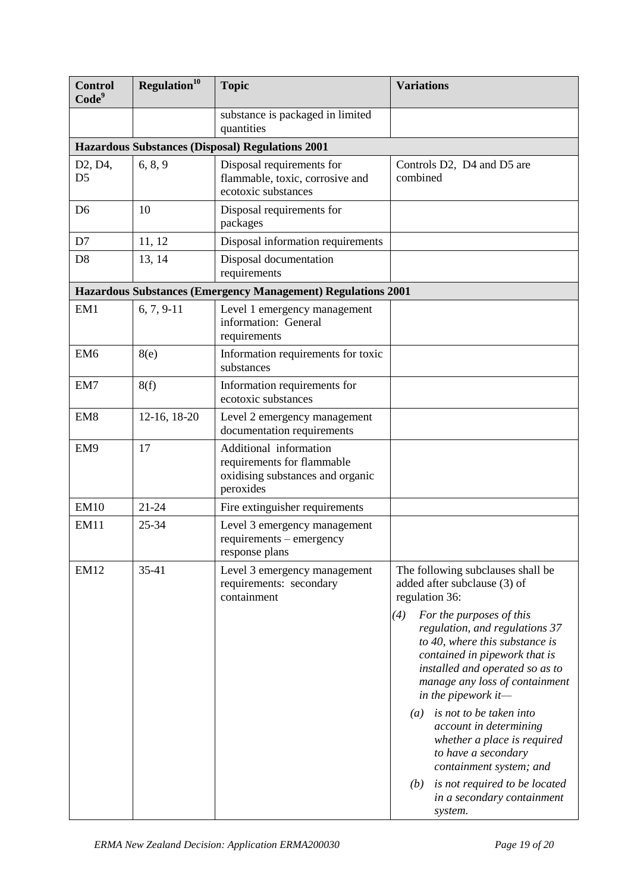| <b>Control</b><br>Code <sup>9</sup>                 | Regulation <sup>10</sup> | <b>Topic</b>                                                                                          | <b>Variations</b>                                                                                                                                                                                                                                                                                                                                                                                                                                                                                                                                                  |
|-----------------------------------------------------|--------------------------|-------------------------------------------------------------------------------------------------------|--------------------------------------------------------------------------------------------------------------------------------------------------------------------------------------------------------------------------------------------------------------------------------------------------------------------------------------------------------------------------------------------------------------------------------------------------------------------------------------------------------------------------------------------------------------------|
|                                                     |                          | substance is packaged in limited<br>quantities                                                        |                                                                                                                                                                                                                                                                                                                                                                                                                                                                                                                                                                    |
|                                                     |                          | <b>Hazardous Substances (Disposal) Regulations 2001</b>                                               |                                                                                                                                                                                                                                                                                                                                                                                                                                                                                                                                                                    |
| D <sub>2</sub> , D <sub>4</sub> ,<br>D <sub>5</sub> | 6, 8, 9                  | Disposal requirements for<br>flammable, toxic, corrosive and<br>ecotoxic substances                   | Controls D2, D4 and D5 are<br>combined                                                                                                                                                                                                                                                                                                                                                                                                                                                                                                                             |
| D <sub>6</sub>                                      | 10                       | Disposal requirements for<br>packages                                                                 |                                                                                                                                                                                                                                                                                                                                                                                                                                                                                                                                                                    |
| D7                                                  | 11, 12                   | Disposal information requirements                                                                     |                                                                                                                                                                                                                                                                                                                                                                                                                                                                                                                                                                    |
| D <sub>8</sub>                                      | 13, 14                   | Disposal documentation<br>requirements                                                                |                                                                                                                                                                                                                                                                                                                                                                                                                                                                                                                                                                    |
|                                                     |                          | Hazardous Substances (Emergency Management) Regulations 2001                                          |                                                                                                                                                                                                                                                                                                                                                                                                                                                                                                                                                                    |
| EM1                                                 | $6, 7, 9-11$             | Level 1 emergency management<br>information: General<br>requirements                                  |                                                                                                                                                                                                                                                                                                                                                                                                                                                                                                                                                                    |
| EM <sub>6</sub>                                     | 8(e)                     | Information requirements for toxic<br>substances                                                      |                                                                                                                                                                                                                                                                                                                                                                                                                                                                                                                                                                    |
| EM7                                                 | 8(f)                     | Information requirements for<br>ecotoxic substances                                                   |                                                                                                                                                                                                                                                                                                                                                                                                                                                                                                                                                                    |
| EM <sub>8</sub>                                     | 12-16, 18-20             | Level 2 emergency management<br>documentation requirements                                            |                                                                                                                                                                                                                                                                                                                                                                                                                                                                                                                                                                    |
| EM9                                                 | 17                       | Additional information<br>requirements for flammable<br>oxidising substances and organic<br>peroxides |                                                                                                                                                                                                                                                                                                                                                                                                                                                                                                                                                                    |
| <b>EM10</b>                                         | $21 - 24$                | Fire extinguisher requirements                                                                        |                                                                                                                                                                                                                                                                                                                                                                                                                                                                                                                                                                    |
| <b>EM11</b>                                         | 25-34                    | Level 3 emergency management<br>requirements – emergency<br>response plans                            |                                                                                                                                                                                                                                                                                                                                                                                                                                                                                                                                                                    |
| <b>EM12</b>                                         | $35-41$                  | Level 3 emergency management<br>requirements: secondary<br>containment                                | The following subclauses shall be<br>added after subclause (3) of<br>regulation 36:<br>(4)<br>For the purposes of this<br>regulation, and regulations 37<br>to 40, where this substance is<br>contained in pipework that is<br>installed and operated so as to<br>manage any loss of containment<br>in the pipework it-<br>is not to be taken into<br>$\left(a\right)$<br>account in determining<br>whether a place is required<br>to have a secondary<br>containment system; and<br>is not required to be located<br>(b)<br>in a secondary containment<br>system. |